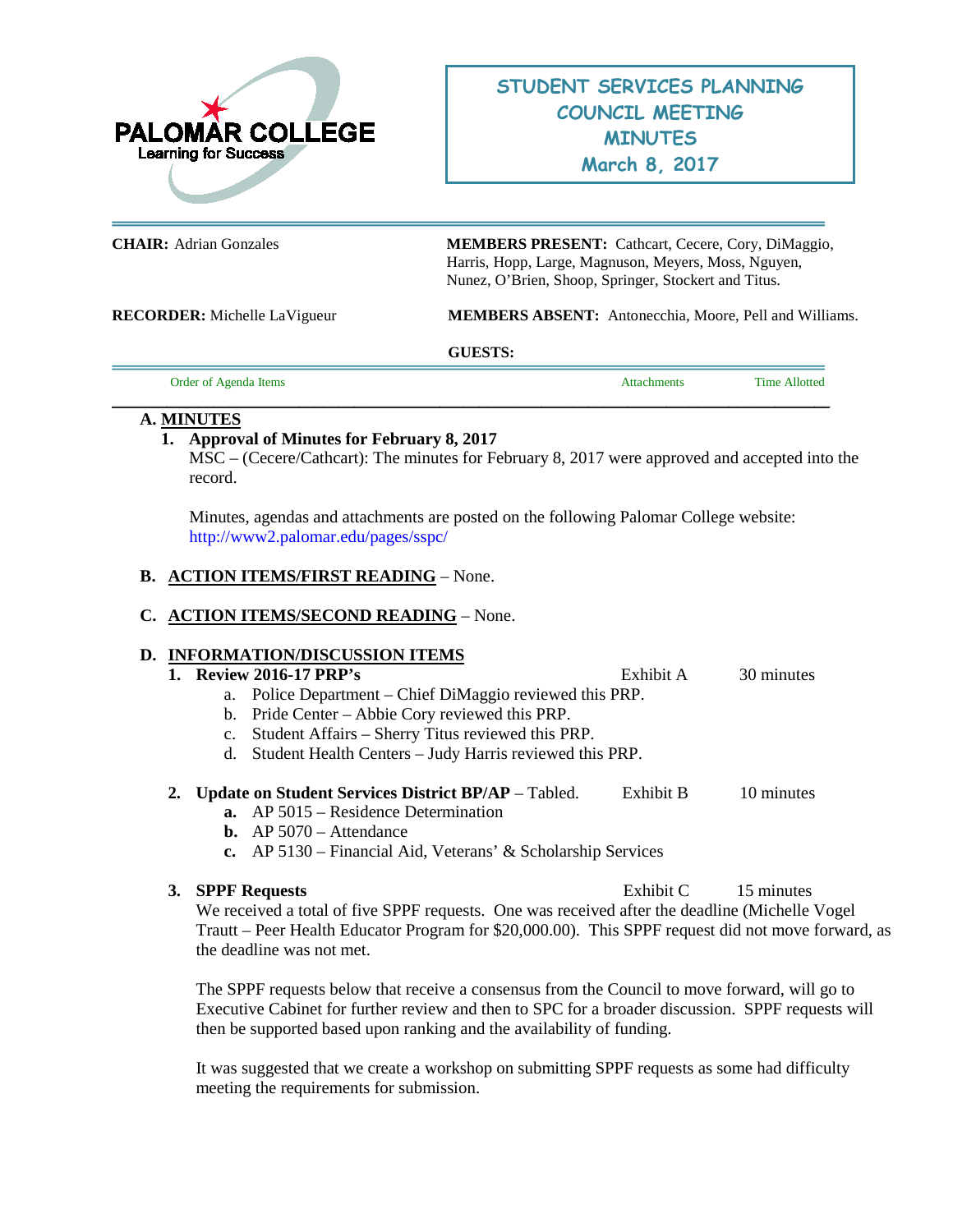

**CHAIR:** Adrian Gonzales **MEMBERS PRESENT:** Cathcart, Cecere, Cory, DiMaggio, Harris, Hopp, Large, Magnuson, Meyers, Moss, Nguyen, Nunez, O'Brien, Shoop, Springer, Stockert and Titus.

**RECORDER:** Michelle LaVigueur **MEMBERS ABSENT:** Antonecchia, Moore, Pell and Williams.

#### **GUESTS:**

**\_\_\_\_\_\_\_\_\_\_\_\_\_\_\_\_\_\_\_\_\_\_\_\_\_\_\_\_\_\_\_\_\_\_\_\_\_\_\_\_\_\_\_\_\_\_\_\_\_\_\_\_\_\_\_\_\_\_\_\_\_\_\_\_\_\_\_\_\_\_\_\_\_\_\_\_\_\_\_\_\_\_\_\_\_\_\_\_\_\_\_\_**

Order of Agenda Items **Attachments** Time Allotted

## **A. MINUTES**

## **1. Approval of Minutes for February 8, 2017**

MSC – (Cecere/Cathcart): The minutes for February 8, 2017 were approved and accepted into the record.

Minutes, agendas and attachments are posted on the following Palomar College website: <http://www2.palomar.edu/pages/sspc/>

## **B. ACTION ITEMS/FIRST READING** – None.

## **C. ACTION ITEMS/SECOND READING** – None.

## **D. INFORMATION/DISCUSSION ITEMS**

#### **1. Review 2016-17 PRP's** Exhibit A 30 minutes

- a. Police Department Chief DiMaggio reviewed this PRP.
- b. Pride Center Abbie Cory reviewed this PRP.
- c. Student Affairs Sherry Titus reviewed this PRP.
- d. Student Health Centers Judy Harris reviewed this PRP.
- **2. Update on Student Services District BP/AP** Tabled. Exhibit B 10 minutes
	- **a.** AP 5015 Residence Determination
	- **b.** AP 5070 Attendance
	- **c.** AP 5130 Financial Aid, Veterans' & Scholarship Services

**3. SPPF Requests** Exhibit C 15 minutes

We received a total of five SPPF requests. One was received after the deadline (Michelle Vogel Trautt – Peer Health Educator Program for \$20,000.00). This SPPF request did not move forward, as the deadline was not met.

The SPPF requests below that receive a consensus from the Council to move forward, will go to Executive Cabinet for further review and then to SPC for a broader discussion. SPPF requests will then be supported based upon ranking and the availability of funding.

It was suggested that we create a workshop on submitting SPPF requests as some had difficulty meeting the requirements for submission.